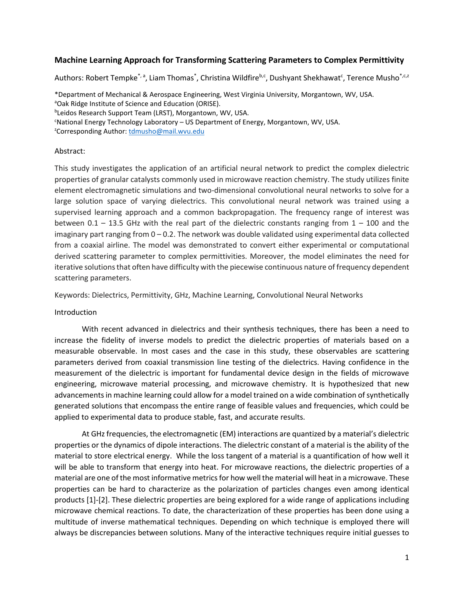# **Machine Learning Approach for Transforming Scattering Parameters to Complex Permittivity**

Authors: Robert Tempke<sup>\*, a</sup>, Liam Thomas<sup>\*</sup>, Christina Wildfire<sup>b,c</sup>, Dushyant Shekhawat<sup>c</sup>, Terence Musho<sup>\*,c,z</sup>

\*Department of Mechanical & Aerospace Engineering, West Virginia University, Morgantown, WV, USA. <sup>a</sup>Oak Ridge Institute of Science and Education (ORISE). b Leidos Research Support Team (LRST), Morgantown, WV, USA.

<sup>c</sup>National Energy Technology Laboratory - US Department of Energy, Morgantown, WV, USA. <sup>2</sup>Corresponding Author: <u>tdmusho@mail.wvu.edu</u>

### Abstract:

This study investigates the application of an artificial neural network to predict the complex dielectric properties of granular catalysts commonly used in microwave reaction chemistry. The study utilizes finite element electromagnetic simulations and two-dimensional convolutional neural networks to solve for a large solution space of varying dielectrics. This convolutional neural network was trained using a supervised learning approach and a common backpropagation. The frequency range of interest was between  $0.1 - 13.5$  GHz with the real part of the dielectric constants ranging from  $1 - 100$  and the imaginary part ranging from  $0 - 0.2$ . The network was double validated using experimental data collected from a coaxial airline. The model was demonstrated to convert either experimental or computational derived scattering parameter to complex permittivities. Moreover, the model eliminates the need for iterative solutions that often have difficulty with the piecewise continuous nature of frequency dependent scattering parameters.

Keywords: Dielectrics, Permittivity, GHz, Machine Learning, Convolutional Neural Networks

### Introduction

With recent advanced in dielectrics and their synthesis techniques, there has been a need to increase the fidelity of inverse models to predict the dielectric properties of materials based on a measurable observable. In most cases and the case in this study, these observables are scattering parameters derived from coaxial transmission line testing of the dielectrics. Having confidence in the measurement of the dielectric is important for fundamental device design in the fields of microwave engineering, microwave material processing, and microwave chemistry. It is hypothesized that new advancements in machine learning could allow for a model trained on a wide combination of synthetically generated solutions that encompass the entire range of feasible values and frequencies, which could be applied to experimental data to produce stable, fast, and accurate results.

At GHz frequencies, the electromagnetic (EM) interactions are quantized by a material's dielectric properties or the dynamics of dipole interactions. The dielectric constant of a material is the ability of the material to store electrical energy. While the loss tangent of a material is a quantification of how well it will be able to transform that energy into heat. For microwave reactions, the dielectric properties of a material are one of the most informative metrics for how well the material will heat in a microwave. These properties can be hard to characterize as the polarization of particles changes even among identical products [1]-[2]. These dielectric properties are being explored for a wide range of applications including microwave chemical reactions. To date, the characterization of these properties has been done using a multitude of inverse mathematical techniques. Depending on which technique is employed there will always be discrepancies between solutions. Many of the interactive techniques require initial guesses to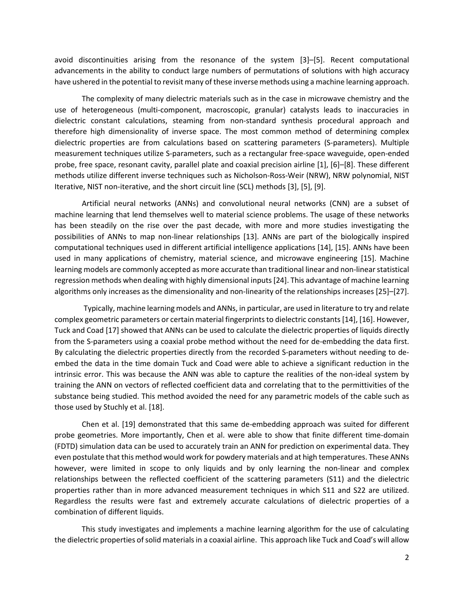avoid discontinuities arising from the resonance of the system [3]–[5]. Recent computational advancements in the ability to conduct large numbers of permutations of solutions with high accuracy have ushered in the potential to revisit many of these inverse methods using a machine learning approach.

The complexity of many dielectric materials such as in the case in microwave chemistry and the use of heterogeneous (multi-component, macroscopic, granular) catalysts leads to inaccuracies in dielectric constant calculations, steaming from non-standard synthesis procedural approach and therefore high dimensionality of inverse space. The most common method of determining complex dielectric properties are from calculations based on scattering parameters (S-parameters). Multiple measurement techniques utilize S-parameters, such as a rectangular free-space waveguide, open-ended probe, free space, resonant cavity, parallel plate and coaxial precision airline [1], [6]–[8]. These different methods utilize different inverse techniques such as Nicholson-Ross-Weir (NRW), NRW polynomial, NIST Iterative, NIST non-iterative, and the short circuit line (SCL) methods [3], [5], [9].

Artificial neural networks (ANNs) and convolutional neural networks (CNN) are a subset of machine learning that lend themselves well to material science problems. The usage of these networks has been steadily on the rise over the past decade, with more and more studies investigating the possibilities of ANNs to map non-linear relationships [13]. ANNs are part of the biologically inspired computational techniques used in different artificial intelligence applications [14], [15]. ANNs have been used in many applications of chemistry, material science, and microwave engineering [15]. Machine learning models are commonly accepted as more accurate than traditional linear and non-linear statistical regression methods when dealing with highly dimensional inputs [24]. This advantage of machine learning algorithms only increases as the dimensionality and non-linearity of the relationships increases [25]–[27].

Typically, machine learning models and ANNs, in particular, are used in literature to try and relate complex geometric parameters or certain material fingerprints to dielectric constants[14], [16]. However, Tuck and Coad [17] showed that ANNs can be used to calculate the dielectric properties of liquids directly from the S-parameters using a coaxial probe method without the need for de-embedding the data first. By calculating the dielectric properties directly from the recorded S-parameters without needing to deembed the data in the time domain Tuck and Coad were able to achieve a significant reduction in the intrinsic error. This was because the ANN was able to capture the realities of the non-ideal system by training the ANN on vectors of reflected coefficient data and correlating that to the permittivities of the substance being studied. This method avoided the need for any parametric models of the cable such as those used by Stuchly et al. [18].

Chen et al. [19] demonstrated that this same de-embedding approach was suited for different probe geometries. More importantly, Chen et al. were able to show that finite different time-domain (FDTD) simulation data can be used to accurately train an ANN for prediction on experimental data. They even postulate that this method would work for powdery materials and at high temperatures. These ANNs however, were limited in scope to only liquids and by only learning the non-linear and complex relationships between the reflected coefficient of the scattering parameters (S11) and the dielectric properties rather than in more advanced measurement techniques in which S11 and S22 are utilized. Regardless the results were fast and extremely accurate calculations of dielectric properties of a combination of different liquids.

This study investigates and implements a machine learning algorithm for the use of calculating the dielectric properties of solid materialsin a coaxial airline. This approach like Tuck and Coad's will allow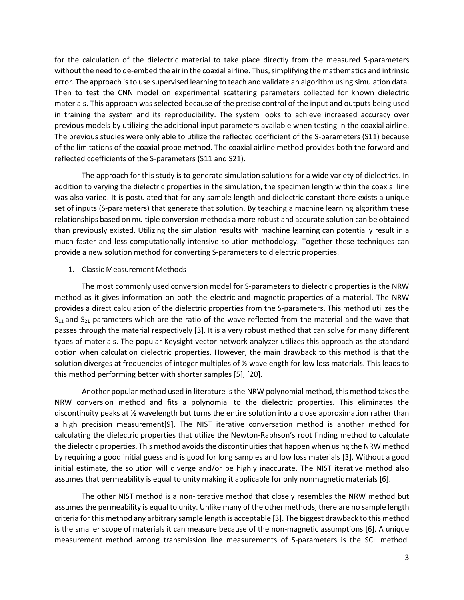for the calculation of the dielectric material to take place directly from the measured S-parameters without the need to de-embed the air in the coaxial airline. Thus, simplifying the mathematics and intrinsic error. The approach is to use supervised learning to teach and validate an algorithm using simulation data. Then to test the CNN model on experimental scattering parameters collected for known dielectric materials. This approach was selected because of the precise control of the input and outputs being used in training the system and its reproducibility. The system looks to achieve increased accuracy over previous models by utilizing the additional input parameters available when testing in the coaxial airline. The previous studies were only able to utilize the reflected coefficient of the S-parameters (S11) because of the limitations of the coaxial probe method. The coaxial airline method provides both the forward and reflected coefficients of the S-parameters (S11 and S21).

The approach for this study is to generate simulation solutions for a wide variety of dielectrics. In addition to varying the dielectric properties in the simulation, the specimen length within the coaxial line was also varied. It is postulated that for any sample length and dielectric constant there exists a unique set of inputs (S-parameters) that generate that solution. By teaching a machine learning algorithm these relationships based on multiple conversion methods a more robust and accurate solution can be obtained than previously existed. Utilizing the simulation results with machine learning can potentially result in a much faster and less computationally intensive solution methodology. Together these techniques can provide a new solution method for converting S-parameters to dielectric properties.

### 1. Classic Measurement Methods

The most commonly used conversion model for S-parameters to dielectric properties is the NRW method as it gives information on both the electric and magnetic properties of a material. The NRW provides a direct calculation of the dielectric properties from the S-parameters. This method utilizes the  $S_{11}$  and  $S_{21}$  parameters which are the ratio of the wave reflected from the material and the wave that passes through the material respectively [3]. It is a very robust method that can solve for many different types of materials. The popular Keysight vector network analyzer utilizes this approach as the standard option when calculation dielectric properties. However, the main drawback to this method is that the solution diverges at frequencies of integer multiples of ½ wavelength for low loss materials. This leads to this method performing better with shorter samples [5], [20].

Another popular method used in literature is the NRW polynomial method, this method takes the NRW conversion method and fits a polynomial to the dielectric properties. This eliminates the discontinuity peaks at ½ wavelength but turns the entire solution into a close approximation rather than a high precision measurement[9]. The NIST iterative conversation method is another method for calculating the dielectric properties that utilize the Newton-Raphson's root finding method to calculate the dielectric properties. This method avoids the discontinuities that happen when using the NRW method by requiring a good initial guess and is good for long samples and low loss materials [3]. Without a good initial estimate, the solution will diverge and/or be highly inaccurate. The NIST iterative method also assumes that permeability is equal to unity making it applicable for only nonmagnetic materials [6].

The other NIST method is a non-iterative method that closely resembles the NRW method but assumes the permeability is equal to unity. Unlike many of the other methods, there are no sample length criteria for this method any arbitrary sample length is acceptable [3]. The biggest drawback to this method is the smaller scope of materials it can measure because of the non-magnetic assumptions [6]. A unique measurement method among transmission line measurements of S-parameters is the SCL method.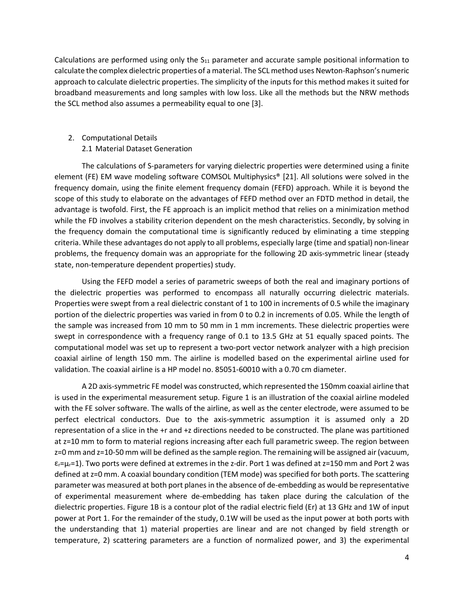Calculations are performed using only the  $S<sub>11</sub>$  parameter and accurate sample positional information to calculate the complex dielectric properties of a material. The SCL method uses Newton-Raphson's numeric approach to calculate dielectric properties. The simplicity of the inputs for this method makes it suited for broadband measurements and long samples with low loss. Like all the methods but the NRW methods the SCL method also assumes a permeability equal to one [3].

- 2. Computational Details
	- 2.1 Material Dataset Generation

The calculations of S-parameters for varying dielectric properties were determined using a finite element (FE) EM wave modeling software COMSOL Multiphysics® [21]. All solutions were solved in the frequency domain, using the finite element frequency domain (FEFD) approach. While it is beyond the scope of this study to elaborate on the advantages of FEFD method over an FDTD method in detail, the advantage is twofold. First, the FE approach is an implicit method that relies on a minimization method while the FD involves a stability criterion dependent on the mesh characteristics. Secondly, by solving in the frequency domain the computational time is significantly reduced by eliminating a time stepping criteria. While these advantages do not apply to all problems, especially large (time and spatial) non-linear problems, the frequency domain was an appropriate for the following 2D axis-symmetric linear (steady state, non-temperature dependent properties) study.

Using the FEFD model a series of parametric sweeps of both the real and imaginary portions of the dielectric properties was performed to encompass all naturally occurring dielectric materials. Properties were swept from a real dielectric constant of 1 to 100 in increments of 0.5 while the imaginary portion of the dielectric properties was varied in from 0 to 0.2 in increments of 0.05. While the length of the sample was increased from 10 mm to 50 mm in 1 mm increments. These dielectric properties were swept in correspondence with a frequency range of 0.1 to 13.5 GHz at 51 equally spaced points. The computational model was set up to represent a two-port vector network analyzer with a high precision coaxial airline of length 150 mm. The airline is modelled based on the experimental airline used for validation. The coaxial airline is a HP model no. 85051-60010 with a 0.70 cm diameter.

A 2D axis-symmetric FE model was constructed, which represented the 150mm coaxial airline that is used in the experimental measurement setup. Figure 1 is an illustration of the coaxial airline modeled with the FE solver software. The walls of the airline, as well as the center electrode, were assumed to be perfect electrical conductors. Due to the axis-symmetric assumption it is assumed only a 2D representation of a slice in the +r and +z directions needed to be constructed. The plane was partitioned at z=10 mm to form to material regions increasing after each full parametric sweep. The region between z=0 mm and z=10-50 mm will be defined as the sample region. The remaining will be assigned air (vacuum,  $\varepsilon_r=\mu_r=1$ ). Two ports were defined at extremes in the z-dir. Port 1 was defined at z=150 mm and Port 2 was defined at z=0 mm. A coaxial boundary condition (TEM mode) was specified for both ports. The scattering parameter was measured at both port planes in the absence of de-embedding as would be representative of experimental measurement where de-embedding has taken place during the calculation of the dielectric properties. Figure 1B is a contour plot of the radial electric field (Er) at 13 GHz and 1W of input power at Port 1. For the remainder of the study, 0.1W will be used as the input power at both ports with the understanding that 1) material properties are linear and are not changed by field strength or temperature, 2) scattering parameters are a function of normalized power, and 3) the experimental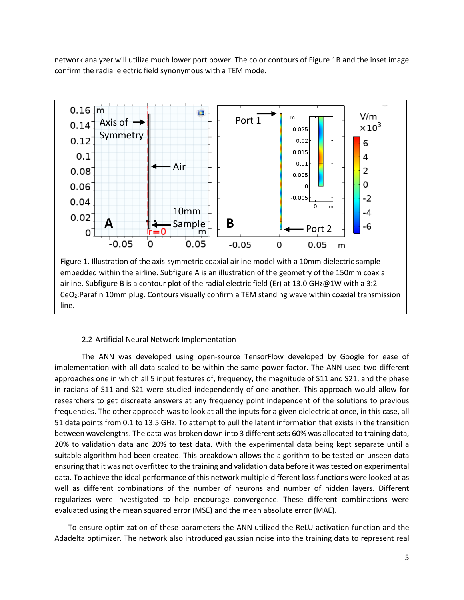network analyzer will utilize much lower port power. The color contours of Figure 1B and the inset image confirm the radial electric field synonymous with a TEM mode.



# 2.2 Artificial Neural Network Implementation

The ANN was developed using open-source TensorFlow developed by Google for ease of implementation with all data scaled to be within the same power factor. The ANN used two different approaches one in which all 5 input features of, frequency, the magnitude of S11 and S21, and the phase in radians of S11 and S21 were studied independently of one another. This approach would allow for researchers to get discreate answers at any frequency point independent of the solutions to previous frequencies. The other approach was to look at all the inputs for a given dielectric at once, in this case, all 51 data points from 0.1 to 13.5 GHz. To attempt to pull the latent information that exists in the transition between wavelengths. The data was broken down into 3 different sets 60% was allocated to training data, 20% to validation data and 20% to test data. With the experimental data being kept separate until a suitable algorithm had been created. This breakdown allows the algorithm to be tested on unseen data ensuring that it was not overfitted to the training and validation data before it was tested on experimental data. To achieve the ideal performance of this network multiple different loss functions were looked at as well as different combinations of the number of neurons and number of hidden layers. Different regularizes were investigated to help encourage convergence. These different combinations were evaluated using the mean squared error (MSE) and the mean absolute error (MAE).

To ensure optimization of these parameters the ANN utilized the ReLU activation function and the Adadelta optimizer. The network also introduced gaussian noise into the training data to represent real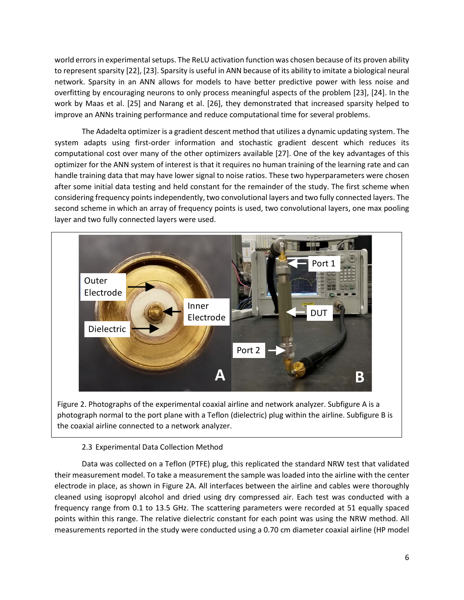world errors in experimental setups. The ReLU activation function was chosen because of its proven ability to represent sparsity [22], [23]. Sparsity is useful in ANN because of its ability to imitate a biological neural network. Sparsity in an ANN allows for models to have better predictive power with less noise and overfitting by encouraging neurons to only process meaningful aspects of the problem [23], [24]. In the work by Maas et al. [25] and Narang et al. [26], they demonstrated that increased sparsity helped to improve an ANNs training performance and reduce computational time for several problems.

The Adadelta optimizer is a gradient descent method that utilizes a dynamic updating system. The system adapts using first-order information and stochastic gradient descent which reduces its computational cost over many of the other optimizers available [27]. One of the key advantages of this optimizer for the ANN system of interest is that it requires no human training of the learning rate and can handle training data that may have lower signal to noise ratios. These two hyperparameters were chosen after some initial data testing and held constant for the remainder of the study. The first scheme when considering frequency points independently, two convolutional layers and two fully connected layers. The second scheme in which an array of frequency points is used, two convolutional layers, one max pooling layer and two fully connected layers were used.



Figure 2. Photographs of the experimental coaxial airline and network analyzer. Subfigure A is a photograph normal to the port plane with a Teflon (dielectric) plug within the airline. Subfigure B is the coaxial airline connected to a network analyzer.

# 2.3 Experimental Data Collection Method

Data was collected on a Teflon (PTFE) plug, this replicated the standard NRW test that validated their measurement model. To take a measurement the sample was loaded into the airline with the center electrode in place, as shown in Figure 2A. All interfaces between the airline and cables were thoroughly cleaned using isopropyl alcohol and dried using dry compressed air. Each test was conducted with a frequency range from 0.1 to 13.5 GHz. The scattering parameters were recorded at 51 equally spaced points within this range. The relative dielectric constant for each point was using the NRW method. All measurements reported in the study were conducted using a 0.70 cm diameter coaxial airline (HP model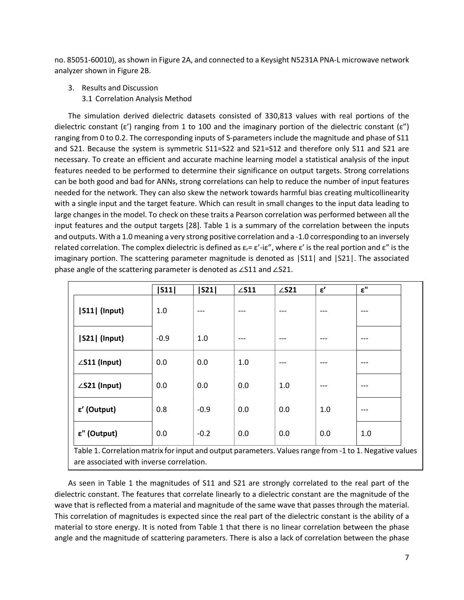no. 85051-60010), as shown in Figure 2A, and connected to a Keysight N5231A PNA-L microwave network analyzer shown in Figure 2B.

- 3. Results and Discussion
	- 3.1 Correlation Analysis Method

The simulation derived dielectric datasets consisted of 330,813 values with real portions of the dielectric constant ( $\varepsilon'$ ) ranging from 1 to 100 and the imaginary portion of the dielectric constant ( $\varepsilon''$ ) ranging from 0 to 0.2. The corresponding inputs of S-parameters include the magnitude and phase of S11 and S21. Because the system is symmetric S11=S22 and S21=S12 and therefore only S11 and S21 are necessary. To create an efficient and accurate machine learning model a statistical analysis of the input features needed to be performed to determine their significance on output targets. Strong correlations can be both good and bad for ANNs, strong correlations can help to reduce the number of input features needed for the network. They can also skew the network towards harmful bias creating multicollinearity with a single input and the target feature. Which can result in small changes to the input data leading to large changes in the model. To check on these traits a Pearson correlation was performed between all the input features and the output targets [28]. Table 1 is a summary of the correlation between the inputs and outputs. With a 1.0 meaning a very strong positive correlation and a -1.0 corresponding to an inversely related correlation. The complex dielectric is defined as  $\varepsilon_r = \varepsilon'$ -i $\varepsilon''$ , where  $\varepsilon'$  is the real portion and  $\varepsilon''$  is the imaginary portion. The scattering parameter magnitude is denoted as |S11| and |S21|. The associated phase angle of the scattering parameter is denoted as ∠S11 and ∠S21.

|                      | S11    | S21    | $\angle$ S11 | $\angle$ S21 | $\epsilon'$ | $\pmb{\varepsilon}^{\text{II}}$ |
|----------------------|--------|--------|--------------|--------------|-------------|---------------------------------|
| [S11] (Input)        | 1.0    | $---$  | $---$        | $---$        | $---$       | $---$                           |
| <b>S21  (Input)</b>  | $-0.9$ | 1.0    | $---$        | ---          | $---$       | ---                             |
| $\angle$ S11 (Input) | 0.0    | 0.0    | 1.0          | ---          | $---$       | $---$                           |
| ∠S21 (Input)         | 0.0    | 0.0    | 0.0          | 1.0          | $---$       | ---                             |
| ε' (Output)          | 0.8    | $-0.9$ | 0.0          | 0.0          | 1.0         | ---                             |
| ε" (Output)          | 0.0    | $-0.2$ | 0.0          | 0.0          | 0.0         | 1.0                             |

Table 1. Correlation matrix for input and output parameters. Values range from -1 to 1. Negative values are associated with inverse correlation.

As seen in Table 1 the magnitudes of S11 and S21 are strongly correlated to the real part of the dielectric constant. The features that correlate linearly to a dielectric constant are the magnitude of the wave that is reflected from a material and magnitude of the same wave that passes through the material. This correlation of magnitudes is expected since the real part of the dielectric constant is the ability of a material to store energy. It is noted from Table 1 that there is no linear correlation between the phase angle and the magnitude of scattering parameters. There is also a lack of correlation between the phase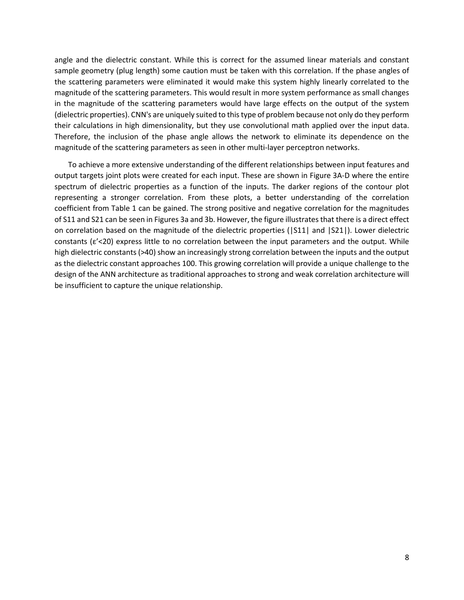angle and the dielectric constant. While this is correct for the assumed linear materials and constant sample geometry (plug length) some caution must be taken with this correlation. If the phase angles of the scattering parameters were eliminated it would make this system highly linearly correlated to the magnitude of the scattering parameters. This would result in more system performance as small changes in the magnitude of the scattering parameters would have large effects on the output of the system (dielectric properties). CNN's are uniquely suited to this type of problem because not only do they perform their calculations in high dimensionality, but they use convolutional math applied over the input data. Therefore, the inclusion of the phase angle allows the network to eliminate its dependence on the magnitude of the scattering parameters as seen in other multi-layer perceptron networks.

To achieve a more extensive understanding of the different relationships between input features and output targets joint plots were created for each input. These are shown in Figure 3A-D where the entire spectrum of dielectric properties as a function of the inputs. The darker regions of the contour plot representing a stronger correlation. From these plots, a better understanding of the correlation coefficient from Table 1 can be gained. The strong positive and negative correlation for the magnitudes of S11 and S21 can be seen in Figures 3a and 3b. However, the figure illustrates that there is a direct effect on correlation based on the magnitude of the dielectric properties (|S11| and |S21|). Lower dielectric constants (ε'<20) express little to no correlation between the input parameters and the output. While high dielectric constants (>40) show an increasingly strong correlation between the inputs and the output as the dielectric constant approaches 100. This growing correlation will provide a unique challenge to the design of the ANN architecture as traditional approaches to strong and weak correlation architecture will be insufficient to capture the unique relationship.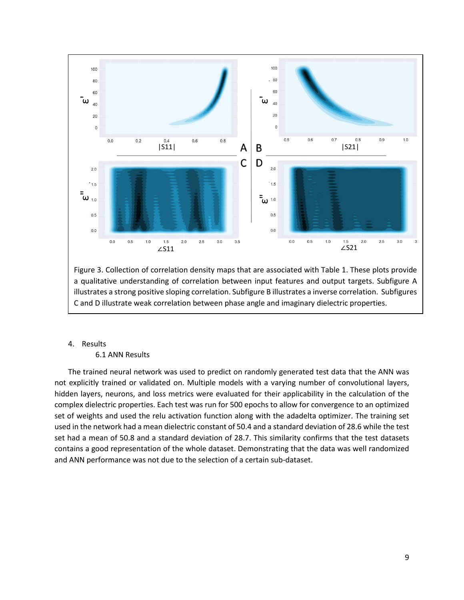

Figure 3. Collection of correlation density maps that are associated with Table 1. These plots provide a qualitative understanding of correlation between input features and output targets. Subfigure A illustrates a strong positive sloping correlation. Subfigure B illustrates a inverse correlation. Subfigures C and D illustrate weak correlation between phase angle and imaginary dielectric properties.

4. Results

6.1 ANN Results

The trained neural network was used to predict on randomly generated test data that the ANN was not explicitly trained or validated on. Multiple models with a varying number of convolutional layers, hidden layers, neurons, and loss metrics were evaluated for their applicability in the calculation of the complex dielectric properties. Each test was run for 500 epochs to allow for convergence to an optimized set of weights and used the relu activation function along with the adadelta optimizer. The training set used in the network had a mean dielectric constant of 50.4 and a standard deviation of 28.6 while the test set had a mean of 50.8 and a standard deviation of 28.7. This similarity confirms that the test datasets contains a good representation of the whole dataset. Demonstrating that the data was well randomized and ANN performance was not due to the selection of a certain sub-dataset.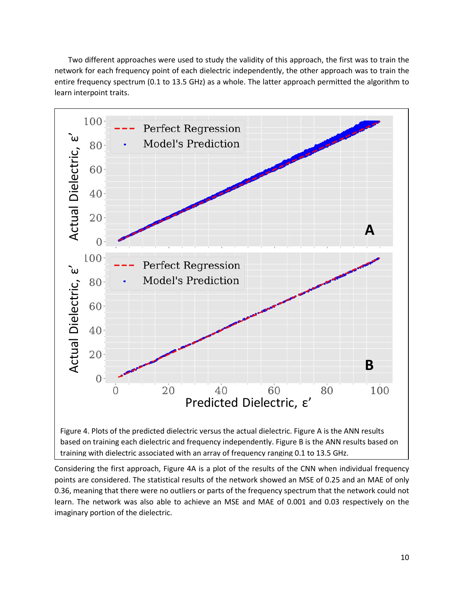Two different approaches were used to study the validity of this approach, the first was to train the network for each frequency point of each dielectric independently, the other approach was to train the entire frequency spectrum (0.1 to 13.5 GHz) as a whole. The latter approach permitted the algorithm to learn interpoint traits.



Considering the first approach, Figure 4A is a plot of the results of the CNN when individual frequency points are considered. The statistical results of the network showed an MSE of 0.25 and an MAE of only 0.36, meaning that there were no outliers or parts of the frequency spectrum that the network could not learn. The network was also able to achieve an MSE and MAE of 0.001 and 0.03 respectively on the imaginary portion of the dielectric.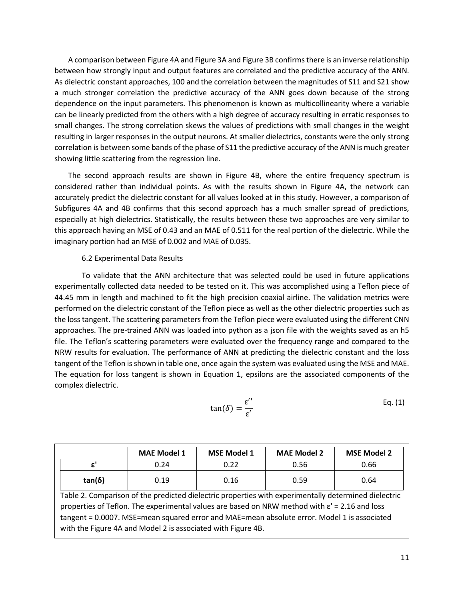A comparison between Figure 4A and Figure 3A and Figure 3B confirms there is an inverse relationship between how strongly input and output features are correlated and the predictive accuracy of the ANN. As dielectric constant approaches, 100 and the correlation between the magnitudes of S11 and S21 show a much stronger correlation the predictive accuracy of the ANN goes down because of the strong dependence on the input parameters. This phenomenon is known as multicollinearity where a variable can be linearly predicted from the others with a high degree of accuracy resulting in erratic responses to small changes. The strong correlation skews the values of predictions with small changes in the weight resulting in larger responses in the output neurons. At smaller dielectrics, constants were the only strong correlation is between some bands of the phase of S11 the predictive accuracy of the ANN is much greater showing little scattering from the regression line.

The second approach results are shown in Figure 4B, where the entire frequency spectrum is considered rather than individual points. As with the results shown in Figure 4A, the network can accurately predict the dielectric constant for all values looked at in this study. However, a comparison of Subfigures 4A and 4B confirms that this second approach has a much smaller spread of predictions, especially at high dielectrics. Statistically, the results between these two approaches are very similar to this approach having an MSE of 0.43 and an MAE of 0.511 for the real portion of the dielectric. While the imaginary portion had an MSE of 0.002 and MAE of 0.035.

### 6.2 Experimental Data Results

To validate that the ANN architecture that was selected could be used in future applications experimentally collected data needed to be tested on it. This was accomplished using a Teflon piece of 44.45 mm in length and machined to fit the high precision coaxial airline. The validation metrics were performed on the dielectric constant of the Teflon piece as well as the other dielectric properties such as the loss tangent. The scattering parameters from the Teflon piece were evaluated using the different CNN approaches. The pre-trained ANN was loaded into python as a json file with the weights saved as an h5 file. The Teflon's scattering parameters were evaluated over the frequency range and compared to the NRW results for evaluation. The performance of ANN at predicting the dielectric constant and the loss tangent of the Teflon is shown in table one, once again the system was evaluated using the MSE and MAE. The equation for loss tangent is shown in Equation 1, epsilons are the associated components of the complex dielectric.

$$
\tan(\delta) = \frac{\varepsilon^{\prime\prime}}{\varepsilon^{\prime}}
$$
 Eq. (1)

|        | <b>MAE Model 1</b> | <b>MSE Model 1</b> | <b>MAE Model 2</b> | <b>MSE Model 2</b> |
|--------|--------------------|--------------------|--------------------|--------------------|
|        | 0.24               | 0.22               | 0.56               | 0.66               |
| tan(δ) | 0.19               | 0.16               | 0.59               | 0.64               |

Table 2. Comparison of the predicted dielectric properties with experimentally determined dielectric properties of Teflon. The experimental values are based on NRW method with  $\varepsilon$ ' = 2.16 and loss tangent = 0.0007. MSE=mean squared error and MAE=mean absolute error. Model 1 is associated with the Figure 4A and Model 2 is associated with Figure 4B.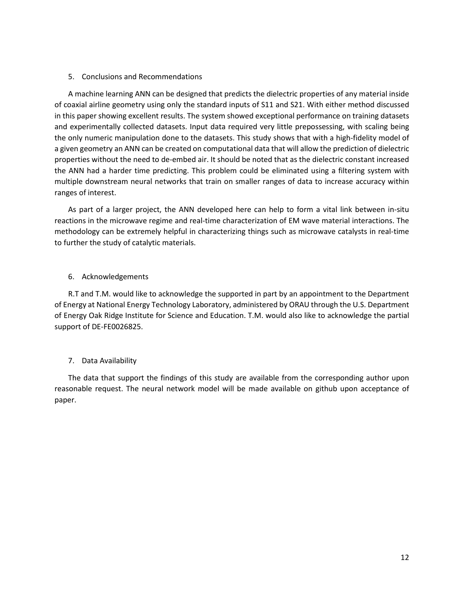### 5. Conclusions and Recommendations

A machine learning ANN can be designed that predicts the dielectric properties of any material inside of coaxial airline geometry using only the standard inputs of S11 and S21. With either method discussed in this paper showing excellent results. The system showed exceptional performance on training datasets and experimentally collected datasets. Input data required very little prepossessing, with scaling being the only numeric manipulation done to the datasets. This study shows that with a high-fidelity model of a given geometry an ANN can be created on computational data that will allow the prediction of dielectric properties without the need to de-embed air. It should be noted that as the dielectric constant increased the ANN had a harder time predicting. This problem could be eliminated using a filtering system with multiple downstream neural networks that train on smaller ranges of data to increase accuracy within ranges of interest.

As part of a larger project, the ANN developed here can help to form a vital link between in-situ reactions in the microwave regime and real-time characterization of EM wave material interactions. The methodology can be extremely helpful in characterizing things such as microwave catalysts in real-time to further the study of catalytic materials.

## 6. Acknowledgements

R.T and T.M. would like to acknowledge the supported in part by an appointment to the Department of Energy at National Energy Technology Laboratory, administered by ORAU through the U.S. Department of Energy Oak Ridge Institute for Science and Education. T.M. would also like to acknowledge the partial support of DE-FE0026825.

## 7. Data Availability

The data that support the findings of this study are available from the corresponding author upon reasonable request. The neural network model will be made available on github upon acceptance of paper.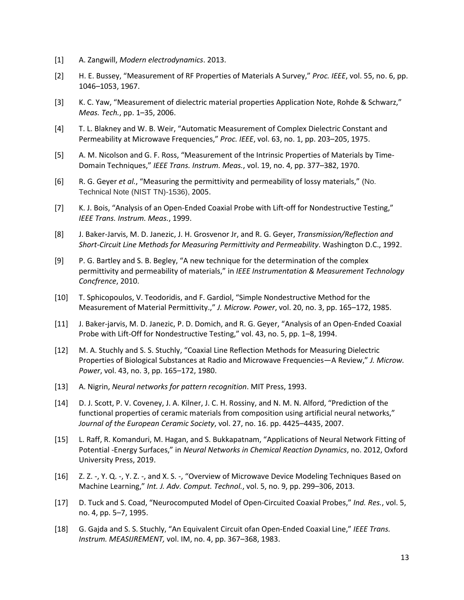- [1] A. Zangwill, *Modern electrodynamics*. 2013.
- [2] H. E. Bussey, "Measurement of RF Properties of Materials A Survey," *Proc. IEEE*, vol. 55, no. 6, pp. 1046–1053, 1967.
- [3] K. C. Yaw, "Measurement of dielectric material properties Application Note, Rohde & Schwarz," *Meas. Tech.*, pp. 1–35, 2006.
- [4] T. L. Blakney and W. B. Weir, "Automatic Measurement of Complex Dielectric Constant and Permeability at Microwave Frequencies," *Proc. IEEE*, vol. 63, no. 1, pp. 203–205, 1975.
- [5] A. M. Nicolson and G. F. Ross, "Measurement of the Intrinsic Properties of Materials by Time-Domain Techniques," *IEEE Trans. Instrum. Meas.*, vol. 19, no. 4, pp. 377–382, 1970.
- [6] R. G. Geyer *et al.*, "Measuring the permittivity and permeability of lossy materials," (No. Technical Note (NIST TN)-1536), 2005.
- [7] K. J. Bois, "Analysis of an Open-Ended Coaxial Probe with Lift-off for Nondestructive Testing," *IEEE Trans. Instrum. Meas.*, 1999.
- [8] J. Baker-Jarvis, M. D. Janezic, J. H. Grosvenor Jr, and R. G. Geyer, *Transmission/Reflection and Short-Circuit Line Methods for Measuring Permittivity and Permeability*. Washington D.C., 1992.
- [9] P. G. Bartley and S. B. Begley, "A new technique for the determination of the complex permittivity and permeability of materials," in *IEEE Instrumentation & Measurement Technology Concfrence*, 2010.
- [10] T. Sphicopoulos, V. Teodoridis, and F. Gardiol, "Simple Nondestructive Method for the Measurement of Material Permittivity.," *J. Microw. Power*, vol. 20, no. 3, pp. 165–172, 1985.
- [11] J. Baker-jarvis, M. D. Janezic, P. D. Domich, and R. G. Geyer, "Analysis of an Open-Ended Coaxial Probe with Lift-Off for Nondestructive Testing," vol. 43, no. 5, pp. 1–8, 1994.
- [12] M. A. Stuchly and S. S. Stuchly, "Coaxial Line Reflection Methods for Measuring Dielectric Properties of Biological Substances at Radio and Microwave Frequencies—A Review," *J. Microw. Power*, vol. 43, no. 3, pp. 165–172, 1980.
- [13] A. Nigrin, *Neural networks for pattern recognition*. MIT Press, 1993.
- [14] D. J. Scott, P. V. Coveney, J. A. Kilner, J. C. H. Rossiny, and N. M. N. Alford, "Prediction of the functional properties of ceramic materials from composition using artificial neural networks," *Journal of the European Ceramic Society*, vol. 27, no. 16. pp. 4425–4435, 2007.
- [15] L. Raff, R. Komanduri, M. Hagan, and S. Bukkapatnam, "Applications of Neural Network Fitting of Potential -Energy Surfaces," in *Neural Networks in Chemical Reaction Dynamics*, no. 2012, Oxford University Press, 2019.
- [16] Z. Z. -, Y. Q. -, Y. Z. -, and X. S. -, "Overview of Microwave Device Modeling Techniques Based on Machine Learning," *Int. J. Adv. Comput. Technol.*, vol. 5, no. 9, pp. 299–306, 2013.
- [17] D. Tuck and S. Coad, "Neurocomputed Model of Open-Circuited Coaxial Probes," *Ind. Res.*, vol. 5, no. 4, pp. 5–7, 1995.
- [18] G. Gajda and S. S. Stuchly, "An Equivalent Circuit ofan Open-Ended Coaxial Line," *IEEE Trans. Instrum. MEASIJREMENT,* vol. IM, no. 4, pp. 367–368, 1983.